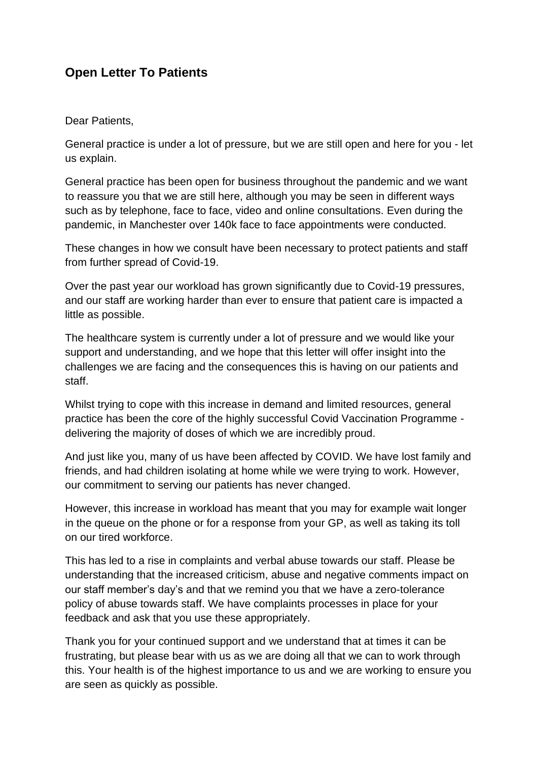# **Open Letter To Patients**

# Dear Patients,

General practice is under a lot of pressure, but we are still open and here for you - let us explain.

General practice has been open for business throughout the pandemic and we want to reassure you that we are still here, although you may be seen in different ways such as by telephone, face to face, video and online consultations. Even during the pandemic, in Manchester over 140k face to face appointments were conducted.

These changes in how we consult have been necessary to protect patients and staff from further spread of Covid-19.

Over the past year our workload has grown significantly due to Covid-19 pressures, and our staff are working harder than ever to ensure that patient care is impacted a little as possible.

The healthcare system is currently under a lot of pressure and we would like your support and understanding, and we hope that this letter will offer insight into the challenges we are facing and the consequences this is having on our patients and staff.

Whilst trying to cope with this increase in demand and limited resources, general practice has been the core of the highly successful Covid Vaccination Programme delivering the majority of doses of which we are incredibly proud.

And just like you, many of us have been affected by COVID. We have lost family and friends, and had children isolating at home while we were trying to work. However, our commitment to serving our patients has never changed.

However, this increase in workload has meant that you may for example wait longer in the queue on the phone or for a response from your GP, as well as taking its toll on our tired workforce.

This has led to a rise in complaints and verbal abuse towards our staff. Please be understanding that the increased criticism, abuse and negative comments impact on our staff member's day's and that we remind you that we have a zero-tolerance policy of abuse towards staff. We have complaints processes in place for your feedback and ask that you use these appropriately.

Thank you for your continued support and we understand that at times it can be frustrating, but please bear with us as we are doing all that we can to work through this. Your health is of the highest importance to us and we are working to ensure you are seen as quickly as possible.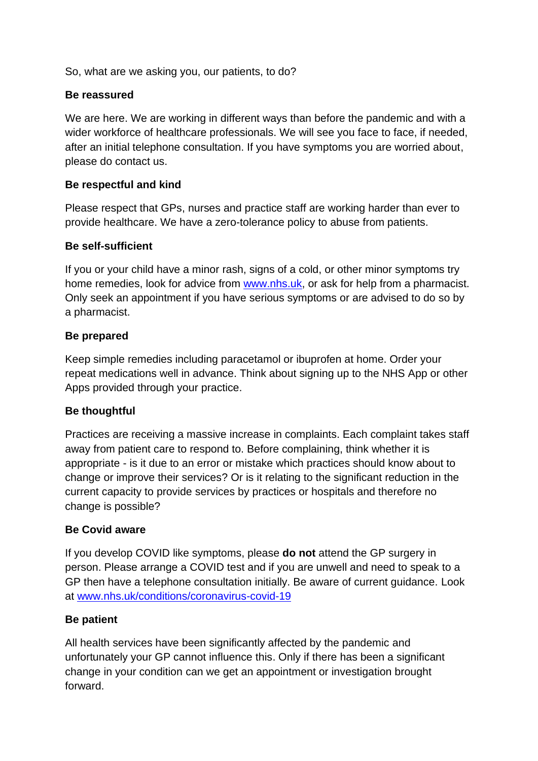So, what are we asking you, our patients, to do?

# **Be reassured**

We are here. We are working in different ways than before the pandemic and with a wider workforce of healthcare professionals. We will see you face to face, if needed, after an initial telephone consultation. If you have symptoms you are worried about, please do contact us.

# **Be respectful and kind**

Please respect that GPs, nurses and practice staff are working harder than ever to provide healthcare. We have a zero-tolerance policy to abuse from patients.

# **Be self-sufficient**

If you or your child have a minor rash, signs of a cold, or other minor symptoms try home remedies, look for advice from [www.nhs.uk,](http://www.nhs.uk/) or ask for help from a pharmacist. Only seek an appointment if you have serious symptoms or are advised to do so by a pharmacist.

# **Be prepared**

Keep simple remedies including paracetamol or ibuprofen at home. Order your repeat medications well in advance. Think about signing up to the NHS App or other Apps provided through your practice.

# **Be thoughtful**

Practices are receiving a massive increase in complaints. Each complaint takes staff away from patient care to respond to. Before complaining, think whether it is appropriate - is it due to an error or mistake which practices should know about to change or improve their services? Or is it relating to the significant reduction in the current capacity to provide services by practices or hospitals and therefore no change is possible?

### **Be Covid aware**

If you develop COVID like symptoms, please **do not** attend the GP surgery in person. Please arrange a COVID test and if you are unwell and need to speak to a GP then have a telephone consultation initially. Be aware of current guidance. Look at [www.nhs.uk/conditions/coronavirus-covid-19](http://www.nhs.uk/conditions/coronavirus-covid-19)

### **Be patient**

All health services have been significantly affected by the pandemic and unfortunately your GP cannot influence this. Only if there has been a significant change in your condition can we get an appointment or investigation brought forward.